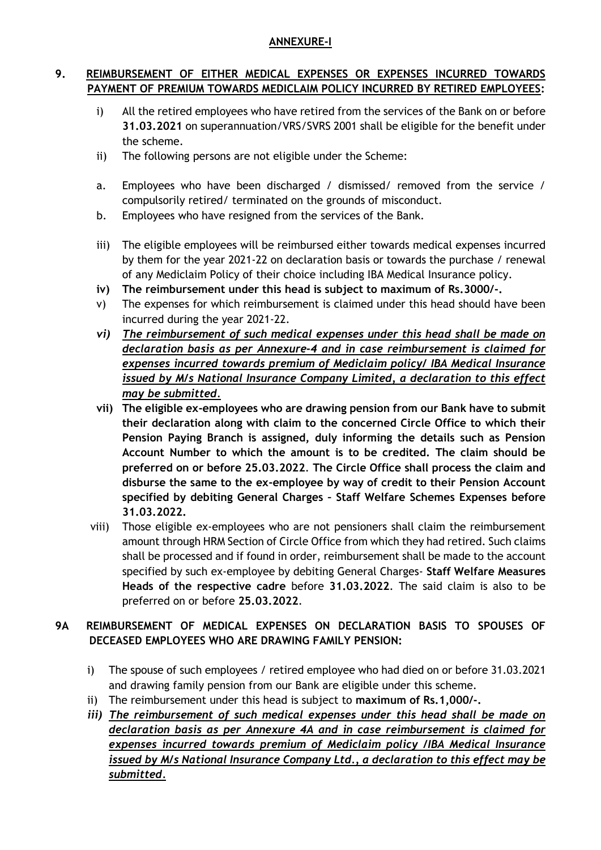## **ANNEXURE-I**

## **9. REIMBURSEMENT OF EITHER MEDICAL EXPENSES OR EXPENSES INCURRED TOWARDS PAYMENT OF PREMIUM TOWARDS MEDICLAIM POLICY INCURRED BY RETIRED EMPLOYEES:**

- i) All the retired employees who have retired from the services of the Bank on or before **31.03.2021** on superannuation/VRS/SVRS 2001 shall be eligible for the benefit under the scheme.
- ii) The following persons are not eligible under the Scheme:
- a. Employees who have been discharged / dismissed/ removed from the service / compulsorily retired/ terminated on the grounds of misconduct.
- b. Employees who have resigned from the services of the Bank.
- iii) The eligible employees will be reimbursed either towards medical expenses incurred by them for the year 2021-22 on declaration basis or towards the purchase / renewal of any Mediclaim Policy of their choice including IBA Medical Insurance policy.
- **iv) The reimbursement under this head is subject to maximum of Rs.3000/-.**
- v) The expenses for which reimbursement is claimed under this head should have been incurred during the year 2021-22.
- *vi) The reimbursement of such medical expenses under this head shall be made on declaration basis as per Annexure-4 and in case reimbursement is claimed for expenses incurred towards premium of Mediclaim policy/ IBA Medical Insurance issued by M/s National Insurance Company Limited, a declaration to this effect may be submitted.*
- **vii) The eligible ex-employees who are drawing pension from our Bank have to submit their declaration along with claim to the concerned Circle Office to which their Pension Paying Branch is assigned, duly informing the details such as Pension Account Number to which the amount is to be credited. The claim should be preferred on or before 25.03.2022**. **The Circle Office shall process the claim and disburse the same to the ex-employee by way of credit to their Pension Account specified by debiting General Charges – Staff Welfare Schemes Expenses before 31.03.2022.**
- viii) Those eligible ex-employees who are not pensioners shall claim the reimbursement amount through HRM Section of Circle Office from which they had retired. Such claims shall be processed and if found in order, reimbursement shall be made to the account specified by such ex-employee by debiting General Charges- **Staff Welfare Measures Heads of the respective cadre** before **31.03.2022**. The said claim is also to be preferred on or before **25.03.2022**.

# **9A REIMBURSEMENT OF MEDICAL EXPENSES ON DECLARATION BASIS TO SPOUSES OF DECEASED EMPLOYEES WHO ARE DRAWING FAMILY PENSION:**

- i) The spouse of such employees / retired employee who had died on or before 31.03.2021 and drawing family pension from our Bank are eligible under this scheme.
- ii) The reimbursement under this head is subject to **maximum of Rs.1,000/-.**
- *iii) The reimbursement of such medical expenses under this head shall be made on declaration basis as per Annexure 4A and in case reimbursement is claimed for expenses incurred towards premium of Mediclaim policy /IBA Medical Insurance issued by M/s National Insurance Company Ltd., a declaration to this effect may be submitted.*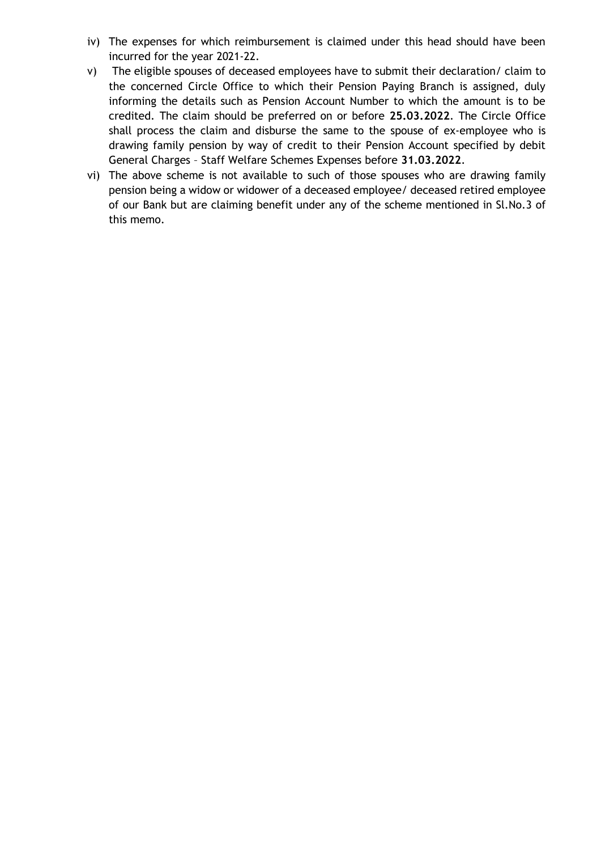- iv) The expenses for which reimbursement is claimed under this head should have been incurred for the year 2021-22.
- v) The eligible spouses of deceased employees have to submit their declaration/ claim to the concerned Circle Office to which their Pension Paying Branch is assigned, duly informing the details such as Pension Account Number to which the amount is to be credited. The claim should be preferred on or before **25.03.2022**. The Circle Office shall process the claim and disburse the same to the spouse of ex-employee who is drawing family pension by way of credit to their Pension Account specified by debit General Charges – Staff Welfare Schemes Expenses before **31.03.2022**.
- vi) The above scheme is not available to such of those spouses who are drawing family pension being a widow or widower of a deceased employee/ deceased retired employee of our Bank but are claiming benefit under any of the scheme mentioned in Sl.No.3 of this memo.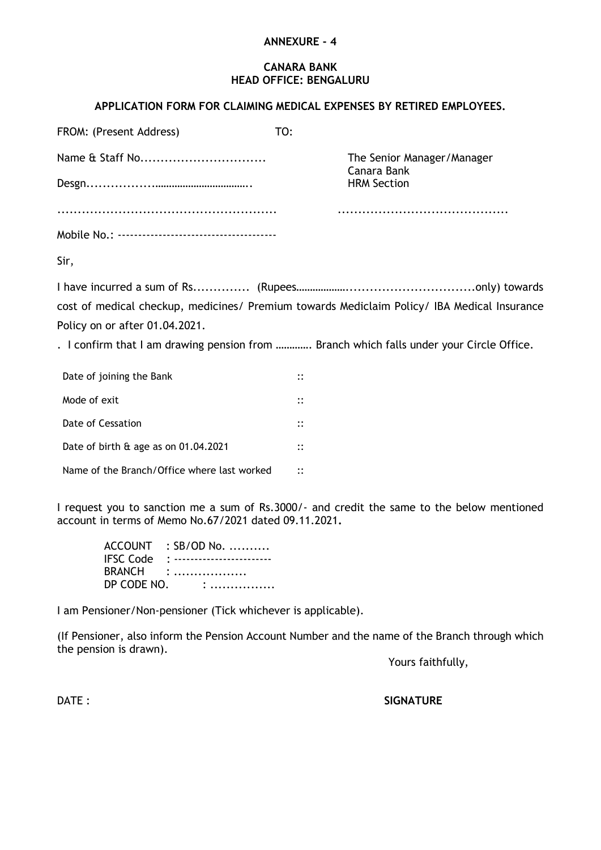#### **ANNEXURE - 4**

#### **CANARA BANK HEAD OFFICE: BENGALURU**

## **APPLICATION FORM FOR CLAIMING MEDICAL EXPENSES BY RETIRED EMPLOYEES.**

| FROM: (Present Address)                     | TO:                                                                                                                                                                                     |
|---------------------------------------------|-----------------------------------------------------------------------------------------------------------------------------------------------------------------------------------------|
| Name & Staff No                             | The Senior Manager/Manager                                                                                                                                                              |
|                                             | Canara Bank<br><b>HRM Section</b>                                                                                                                                                       |
|                                             |                                                                                                                                                                                         |
|                                             |                                                                                                                                                                                         |
| Sir,                                        |                                                                                                                                                                                         |
| Policy on or after 01.04.2021.              | cost of medical checkup, medicines/ Premium towards Mediclaim Policy/ IBA Medical Insurance<br>. I confirm that I am drawing pension from  Branch which falls under your Circle Office. |
| Date of joining the Bank                    | $\vdots$                                                                                                                                                                                |
| Mode of exit                                | $\vdots$                                                                                                                                                                                |
| Date of Cessation                           | $\vdots$                                                                                                                                                                                |
| Date of birth & age as on 01.04.2021        | $\vdots$                                                                                                                                                                                |
| Name of the Branch/Office where last worked | $\vdots$                                                                                                                                                                                |

I request you to sanction me a sum of Rs.3000/- and credit the same to the below mentioned account in terms of Memo No.67/2021 dated 09.11.2021**.**

ACCOUNT : SB/OD No. .......... IFSC Code : ------------------------ BRANCH : ................... DP CODE NO. : .................

I am Pensioner/Non-pensioner (Tick whichever is applicable).

(If Pensioner, also inform the Pension Account Number and the name of the Branch through which the pension is drawn).

Yours faithfully,

DATE : **SIGNATURE**